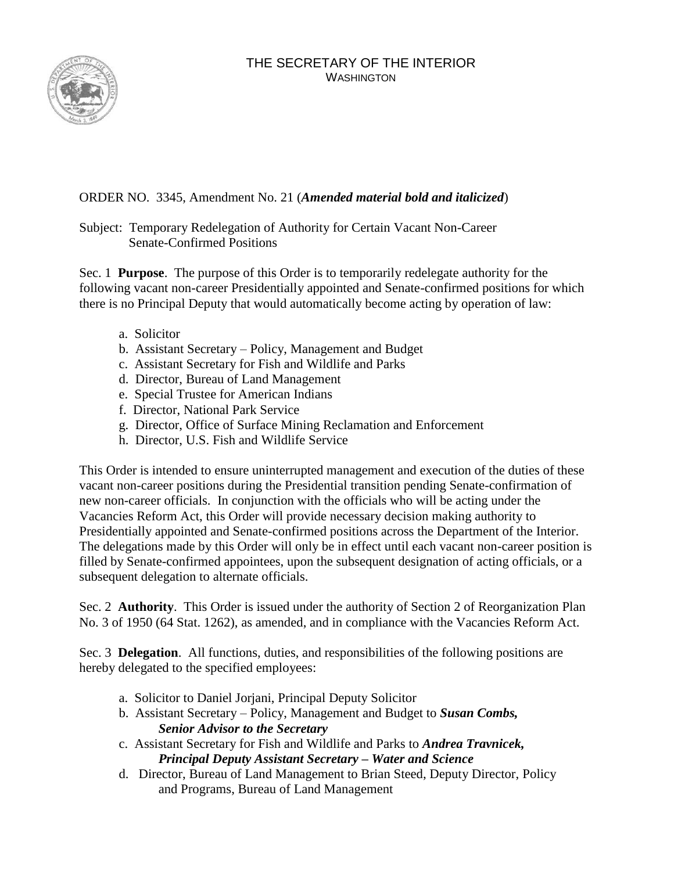## THE SECRETARY OF THE INTERIOR WASHINGTON



## ORDER NO. 3345, Amendment No. 21 (*Amended material bold and italicized*)

## Subject: Temporary Redelegation of Authority for Certain Vacant Non-Career Senate-Confirmed Positions

Sec. 1 **Purpose**. The purpose of this Order is to temporarily redelegate authority for the following vacant non-career Presidentially appointed and Senate-confirmed positions for which there is no Principal Deputy that would automatically become acting by operation of law:

- a. Solicitor
- b. Assistant Secretary Policy, Management and Budget
- c. Assistant Secretary for Fish and Wildlife and Parks
- d. Director, Bureau of Land Management
- e. Special Trustee for American Indians
- f. Director, National Park Service
- g. Director, Office of Surface Mining Reclamation and Enforcement
- h. Director, U.S. Fish and Wildlife Service

This Order is intended to ensure uninterrupted management and execution of the duties of these vacant non-career positions during the Presidential transition pending Senate-confirmation of new non-career officials. In conjunction with the officials who will be acting under the Vacancies Reform Act, this Order will provide necessary decision making authority to Presidentially appointed and Senate-confirmed positions across the Department of the Interior. The delegations made by this Order will only be in effect until each vacant non-career position is filled by Senate-confirmed appointees, upon the subsequent designation of acting officials, or a subsequent delegation to alternate officials.

Sec. 2 **Authority**. This Order is issued under the authority of Section 2 of Reorganization Plan No. 3 of 1950 (64 Stat. 1262), as amended, and in compliance with the Vacancies Reform Act.

Sec. 3 **Delegation**. All functions, duties, and responsibilities of the following positions are hereby delegated to the specified employees:

- a. Solicitor to Daniel Jorjani, Principal Deputy Solicitor
- b. Assistant Secretary Policy, Management and Budget to *Susan Combs, Senior Advisor to the Secretary*
- c. Assistant Secretary for Fish and Wildlife and Parks to *Andrea Travnicek, Principal Deputy Assistant Secretary – Water and Science*
- d. Director, Bureau of Land Management to Brian Steed, Deputy Director, Policy and Programs, Bureau of Land Management